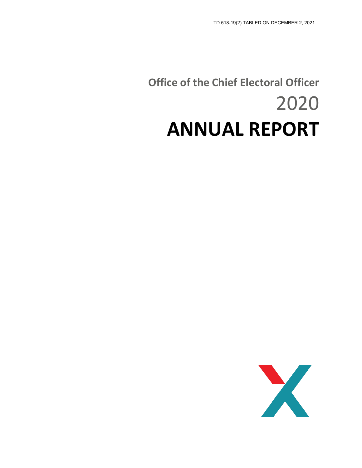# **Office of the Chief Electoral Officer** 2020 **ANNUAL REPORT**

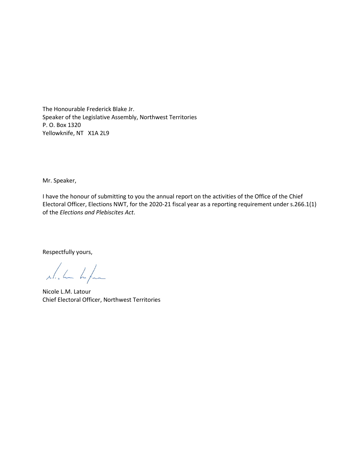The Honourable Frederick Blake Jr. Speaker of the Legislative Assembly, Northwest Territories P. O. Box 1320 Yellowknife, NT X1A 2L9

Mr. Speaker,

I have the honour of submitting to you the annual report on the activities of the Office of the Chief Electoral Officer, Elections NWT, for the 2020-21 fiscal year as a reporting requirement under s.266.1(1) of the *Elections and Plebiscites Act*.

Respectfully yours,

which he

Nicole L.M. Latour Chief Electoral Officer, Northwest Territories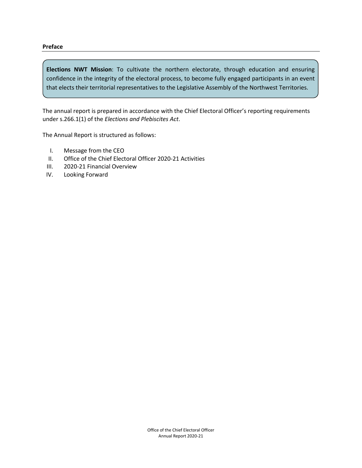#### **Preface**

**Elections NWT Mission**: To cultivate the northern electorate, through education and ensuring confidence in the integrity of the electoral process, to become fully engaged participants in an event that elects their territorial representatives to the Legislative Assembly of the Northwest Territories.

The annual report is prepared in accordance with the Chief Electoral Officer's reporting requirements under s.266.1(1) of the *Elections and Plebiscites Act*.

The Annual Report is structured as follows:

- I. Message from the CEO
- II. Office of the Chief Electoral Officer 2020-21 Activities
- III. 2020-21 Financial Overview
- IV. Looking Forward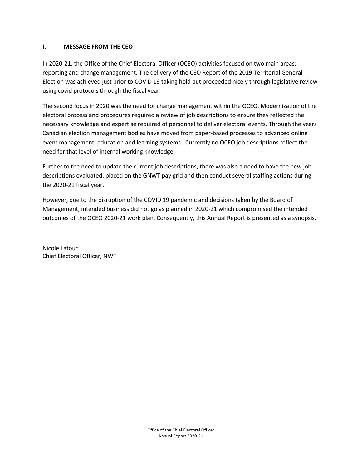## **I. MESSAGE FROM THE CEO**

In 2020-21, the Office of the Chief Electoral Officer (OCEO) activities focused on two main areas: reporting and change management. The delivery of the CEO Report of the 2019 Territorial General Election was achieved just prior to COVID 19 taking hold but proceeded nicely through legislative review using covid protocols through the fiscal year.

The second focus in 2020 was the need for change management within the OCEO. Modernization of the electoral process and procedures required a review of job descriptions to ensure they reflected the necessary knowledge and expertise required of personnel to deliver electoral events. Through the years Canadian election management bodies have moved from paper-based processes to advanced online event management, education and learning systems. Currently no OCEO job descriptions reflect the need for that level of internal working knowledge.

Further to the need to update the current job descriptions, there was also a need to have the new job descriptions evaluated, placed on the GNWT pay grid and then conduct several staffing actions during the 2020-21 fiscal year.

However, due to the disruption of the COVID 19 pandemic and decisions taken by the Board of Management, intended business did not go as planned in 2020-21 which compromised the intended outcomes of the OCEO 2020-21 work plan. Consequently, this Annual Report is presented as a synopsis.

Nicole Latour Chief Electoral Officer, NWT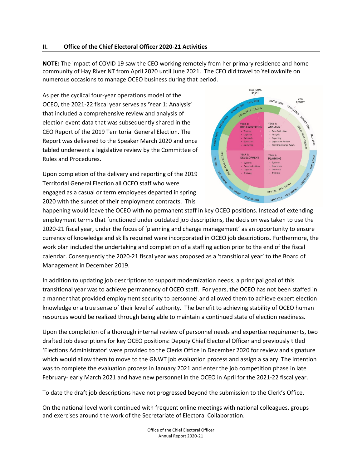# **II. Office of the Chief Electoral Officer 2020-21 Activities**

**NOTE:** The impact of COVID 19 saw the CEO working remotely from her primary residence and home community of Hay River NT from April 2020 until June 2021. The CEO did travel to Yellowknife on numerous occasions to manage OCEO business during that period.

As per the cyclical four-year operations model of the OCEO, the 2021-22 fiscal year serves as 'Year 1: Analysis' that included a comprehensive review and analysis of election event data that was subsequently shared in the CEO Report of the 2019 Territorial General Election. The Report was delivered to the Speaker March 2020 and once tabled underwent a legislative review by the Committee of Rules and Procedures.

Upon completion of the delivery and reporting of the 2019 Territorial General Election all OCEO staff who were engaged as a casual or term employees departed in spring 2020 with the sunset of their employment contracts. This



happening would leave the OCEO with no permanent staff in key OCEO positions. Instead of extending employment terms that functioned under outdated job descriptions, the decision was taken to use the 2020-21 fiscal year, under the focus of 'planning and change management' as an opportunity to ensure currency of knowledge and skills required were incorporated in OCEO job descriptions. Furthermore, the work plan included the undertaking and completion of a staffing action prior to the end of the fiscal calendar. Consequently the 2020-21 fiscal year was proposed as a 'transitional year' to the Board of Management in December 2019.

In addition to updating job descriptions to support modernization needs, a principal goal of this transitional year was to achieve permanency of OCEO staff. For years, the OCEO has not been staffed in a manner that provided employment security to personnel and allowed them to achieve expert election knowledge or a true sense of their level of authority. The benefit to achieving stability of OCEO human resources would be realized through being able to maintain a continued state of election readiness.

Upon the completion of a thorough internal review of personnel needs and expertise requirements, two drafted Job descriptions for key OCEO positions: Deputy Chief Electoral Officer and previously titled 'Elections Administrator' were provided to the Clerks Office in December 2020 for review and signature which would allow them to move to the GNWT job evaluation process and assign a salary. The intention was to complete the evaluation process in January 2021 and enter the job competition phase in late February- early March 2021 and have new personnel in the OCEO in April for the 2021-22 fiscal year.

To date the draft job descriptions have not progressed beyond the submission to the Clerk's Office.

On the national level work continued with frequent online meetings with national colleagues, groups and exercises around the work of the Secretariate of Electoral Collaboration.